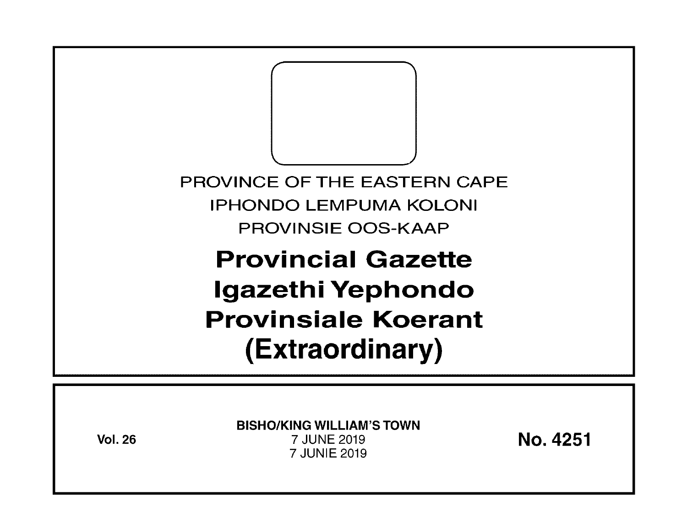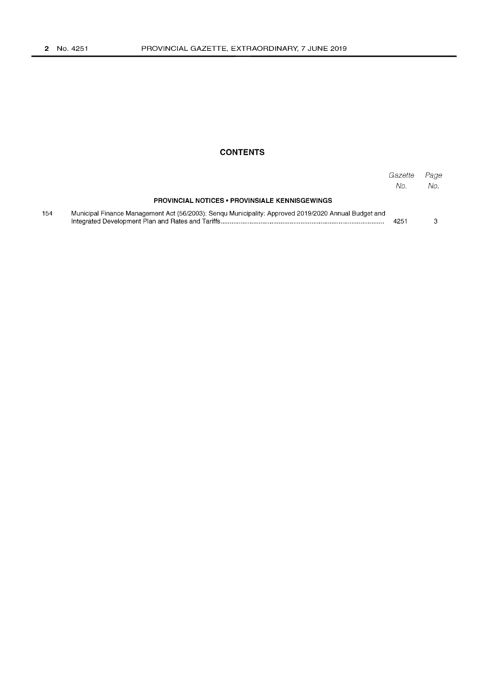# **CONTENTS**

|     |                                                                                                      | Gazette<br>No. | Page<br>No. |
|-----|------------------------------------------------------------------------------------------------------|----------------|-------------|
|     | <b>PROVINCIAL NOTICES • PROVINSIALE KENNISGEWINGS</b>                                                |                |             |
| 154 | Municipal Finance Management Act (56/2003): Senqu Municipality: Approved 2019/2020 Annual Budget and | 4251           |             |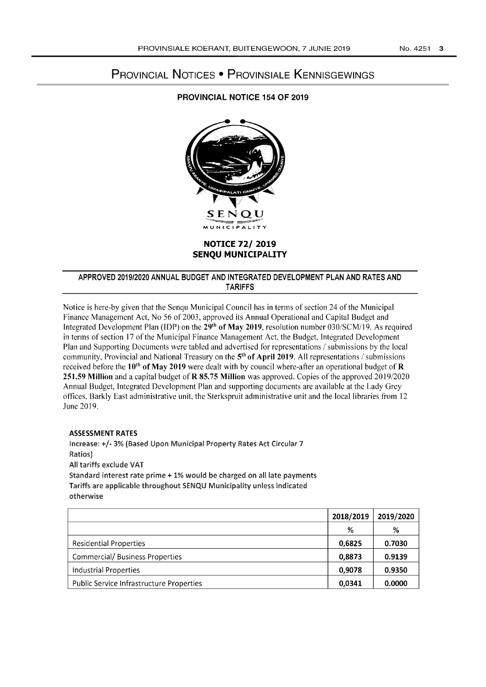# PROVINCIAL NOTICES • PROVINSIALE KENNISGEWINGS

## PROVINCIAL NOTICE 154 OF 2019



## **NOTICE** 72/ **2019 SENQU MUNICIPALITY**

## APPROVED 2019/2020 ANNUAL BUDGET AND INTEGRATED DEVELOPMENT PLAN AND RATES AND TARIFFS

Notice is here-by given that the Senqu Municipal Council has in terms of section 24 of the Municipal Finance Management Act, No 56 of 2003, approved its Annual Operational and Capital Budget and Integrated Development Plan (!DP) on the 29th of May 2019, resolution number *030/SCM/19.* As required in terms of section 17 of the Municipal Finance Management Act, the Budget, Integrated Development Plan and Supporting Documents were tabled and advertised for representations / submissions by the local community, Provincial and National Treasury on the 5<sup>th</sup> of April 2019. All representations / submissions received before the 10<sup>th</sup> of May 2019 were dealt with by council where-after an operational budget of R 251.59 Million and a capital budget of R 85.75 Million was approved. Copies of the approved *2019/2020*  Annual Budget, Integrated Development Plan and supporting documents are available at the Lady Grey offices, Barkly East administrative unit, the Sterkspruit administrative unit and the local libraries from 12 June 2019.

#### ASSESSMENT RATES

Increase: +/- 3% (Based Upon Municipal Property Rates Act Circular 7 Ratios) All tariffs exclude VAT Standard interest rate prime + 1% would be charged on all late payments Tariffs are applicable throughout SENQU Municipality unless indicated otherwise

|                                          | 2018/2019 | 2019/2020 |
|------------------------------------------|-----------|-----------|
|                                          | %         | %         |
| Residential Properties                   | 0,6825    | 0.7030    |
| <b>Commercial/ Business Properties</b>   | 0,8873    | 0.9139    |
| Industrial Properties                    | 0,9078    | 0.9350    |
| Public Service Infrastructure Properties | 0.0341    | 0.0000    |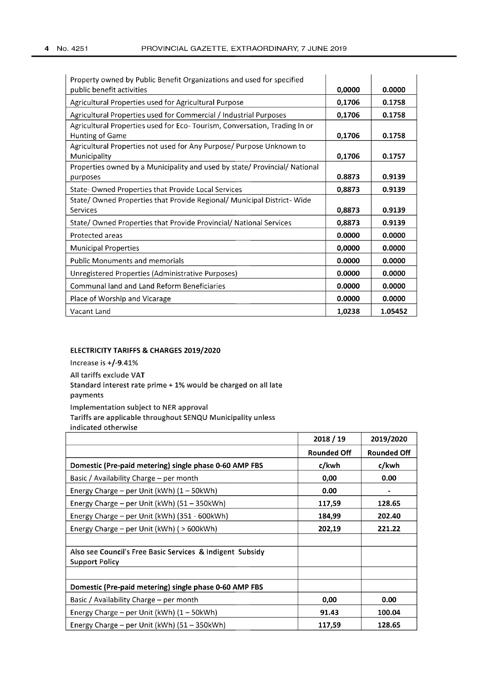| Property owned by Public Benefit Organizations and used for specified<br>public benefit activities | 0,0000 | 0.0000  |
|----------------------------------------------------------------------------------------------------|--------|---------|
| Agricultural Properties used for Agricultural Purpose                                              | 0,1706 | 0.1758  |
| Agricultural Properties used for Commercial / Industrial Purposes                                  | 0,1706 | 0.1758  |
| Agricultural Properties used for Eco- Tourism, Conversation, Trading In or<br>Hunting of Game      | 0,1706 | 0.1758  |
| Agricultural Properties not used for Any Purpose/ Purpose Unknown to<br>Municipality               | 0,1706 | 0.1757  |
| Properties owned by a Municipality and used by state/ Provincial/ National<br>purposes             | 0.8873 | 0.9139  |
| State-Owned Properties that Provide Local Services                                                 | 0,8873 | 0.9139  |
| State/Owned Properties that Provide Regional/Municipal District-Wide<br>Services                   | 0,8873 | 0.9139  |
| State/ Owned Properties that Provide Provincial/ National Services                                 | 0,8873 | 0.9139  |
| Protected areas                                                                                    | 0.0000 | 0.0000  |
| <b>Municipal Properties</b>                                                                        | 0,0000 | 0.0000  |
| <b>Public Monuments and memorials</b>                                                              | 0.0000 | 0.0000  |
| Unregistered Properties (Administrative Purposes)                                                  | 0.0000 | 0.0000  |
| <b>Communal land and Land Reform Beneficiaries</b>                                                 | 0.0000 | 0.0000  |
| Place of Worship and Vicarage                                                                      | 0.0000 | 0.0000  |
| Vacant Land                                                                                        | 1,0238 | 1.05452 |

#### ELECTRICITY TARIFFS & CHARGES 2019/2020

Increase is +/-9.41% All tariffs exclude VAT Standard interest rate prime + 1% would be charged on all late payments Implementation subject to NER approval Tariffs are applicable throughout SENQU Municipality unless indicated otherwise

|                                                           | 2018 / 19          | 2019/2020          |
|-----------------------------------------------------------|--------------------|--------------------|
|                                                           | <b>Rounded Off</b> | <b>Rounded Off</b> |
| Domestic (Pre-paid metering) single phase 0-60 AMP FBS    | c/kwh              | c/kwh              |
| Basic / Availability Charge – per month                   | 0,00               | 0.00               |
| Energy Charge – per Unit (kWh) $(1 - 50kWh)$              | 0.00               |                    |
| Energy Charge - per Unit (kWh) (51 - 350kWh)              | 117,59             | 128.65             |
| Energy Charge – per Unit (kWh) (351 - 600kWh)             | 184,99             | 202.40             |
| Energy Charge – per Unit ( $kWh$ ) ( $>600kWh$ )          | 202,19             | 221.22             |
|                                                           |                    |                    |
| Also see Council's Free Basic Services & Indigent Subsidy |                    |                    |
| <b>Support Policy</b>                                     |                    |                    |
|                                                           |                    |                    |
| Domestic (Pre-paid metering) single phase 0-60 AMP FBS    |                    |                    |
| Basic / Availability Charge – per month                   | 0,00               | 0.00               |
| Energy Charge – per Unit ( $kWh$ ) (1 – 50 $kWh$ )        | 91.43              | 100.04             |
| Energy Charge - per Unit (kWh) (51 - 350kWh)              | 117,59             | 128.65             |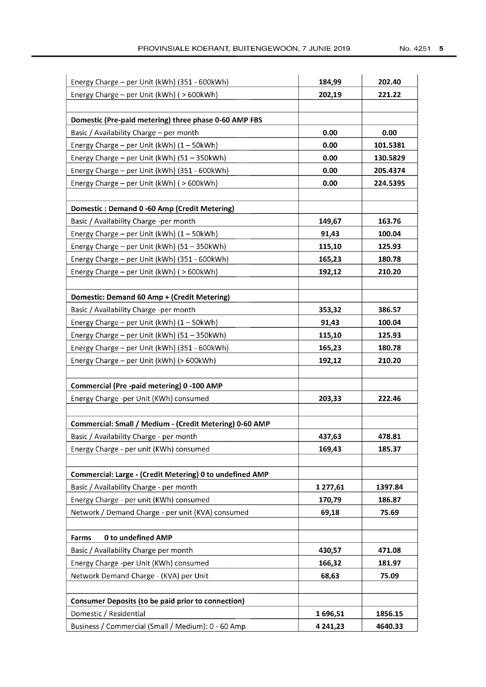| Energy Charge - per Unit (kWh) (351 - 600kWh)             | 184,99   | 202,40   |
|-----------------------------------------------------------|----------|----------|
| Energy Charge - per Unit (kWh) ( > 600kWh)                | 202,19   | 221.22   |
| Domestic (Pre-paid metering) three phase 0-60 AMP FBS     |          |          |
|                                                           |          |          |
| Basic / Availability Charge - per month                   | 0.00     | 0.00     |
| Energy Charge - per Unit (kWh) (1 - 50kWh)                | 0.00     | 101.5381 |
| Energy Charge - per Unit (kWh) (51 - 350kWh)              | 0.00     | 130.5829 |
| Energy Charge - per Unit (kWh) (351 - 600kWh)             | 0.00     | 205.4374 |
| Energy Charge - per Unit (kWh) ( > 600kWh)                | 0.00     | 224.5395 |
| Domestic: Demand 0 -60 Amp (Credit Metering)              |          |          |
| Basic / Availability Charge -per month                    | 149,67   | 163.76   |
| Energy Charge - per Unit (kWh) (1 - 50kWh)                | 91,43    | 100.04   |
| Energy Charge - per Unit (kWh) (51 - 350kWh)              | 115,10   | 125.93   |
| Energy Charge - per Unit (kWh) (351 - 600kWh)             | 165,23   | 180.78   |
| Energy Charge - per Unit (kWh) ( > 600kWh)                | 192,12   | 210.20   |
|                                                           |          |          |
| Domestic: Demand 60 Amp + (Credit Metering)               |          |          |
| Basic / Availability Charge -per month                    | 353,32   | 386.57   |
| Energy Charge - per Unit (kWh) $(1 - 50kWh)$              | 91,43    | 100.04   |
| Energy Charge - per Unit (kWh) (51 - 350kWh)              | 115,10   | 125.93   |
| Energy Charge - per Unit (kWh) (351 - 600kWh)             | 165,23   | 180.78   |
| Energy Charge - per Unit (kWh) (> 600kWh)                 | 192,12   | 210.20   |
| Commercial (Pre-paid metering) 0-100 AMP                  |          |          |
| Energy Charge -per Unit (KWh) consumed                    | 203,33   | 222.46   |
|                                                           |          |          |
| Commercial: Small / Medium - (Credit Metering) 0-60 AMP   |          |          |
| Basic / Availability Charge - per month                   | 437,63   | 478.81   |
| Energy Charge - per unit (KWh) consumed                   | 169,43   | 185.37   |
| Commercial: Large - (Credit Metering) 0 to undefined AMP  |          |          |
| Basic / Availability Charge - per month                   | 1277,61  | 1397.84  |
| Energy Charge - per unit (KWh) consumed                   | 170,79   | 186.87   |
| Network / Demand Charge - per unit (KVA) consumed         | 69,18    | 75.69    |
|                                                           |          |          |
| 0 to undefined AMP<br>Farms                               |          |          |
| Basic / Availability Charge per month                     | 430,57   | 471.08   |
| Energy Charge -per Unit (KWh) consumed                    | 166,32   | 181.97   |
| Network Demand Charge - (KVA) per Unit                    | 68,63    | 75.09    |
| <b>Consumer Deposits (to be paid prior to connection)</b> |          |          |
| Domestic / Residential                                    | 1696,51  | 1856.15  |
| Business / Commercial (Small / Medium): 0 - 60 Amp        | 4 241,23 | 4640.33  |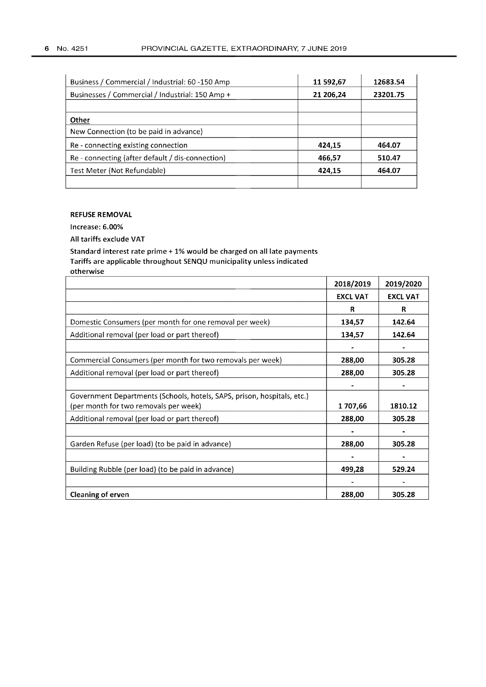| Business / Commercial / Industrial: 60 -150 Amp  | 11 592,67 | 12683.54 |
|--------------------------------------------------|-----------|----------|
| Businesses / Commercial / Industrial: 150 Amp +  | 21 206,24 | 23201.75 |
|                                                  |           |          |
| Other                                            |           |          |
| New Connection (to be paid in advance)           |           |          |
| Re - connecting existing connection              | 424,15    | 464.07   |
| Re - connecting (after default / dis-connection) | 466,57    | 510.47   |
| Test Meter (Not Refundable)                      | 424,15    | 464.07   |
|                                                  |           |          |

## REFUSE REMOVAL

Increase: 6.00%

All tariffs exclude VAT

Standard interest rate prime + 1% would be charged on all late payments Tariffs are applicable throughout SENQU municipality unless indicated otherwise

|                                                                         | 2018/2019       | 2019/2020       |
|-------------------------------------------------------------------------|-----------------|-----------------|
|                                                                         | <b>EXCL VAT</b> | <b>EXCL VAT</b> |
|                                                                         | R               | R               |
| Domestic Consumers (per month for one removal per week)                 | 134,57          | 142.64          |
| Additional removal (per load or part thereof)                           | 134,57          | 142.64          |
|                                                                         |                 |                 |
| Commercial Consumers (per month for two removals per week)              | 288,00          | 305.28          |
| Additional removal (per load or part thereof)                           | 288,00          | 305.28          |
|                                                                         |                 |                 |
| Government Departments (Schools, hotels, SAPS, prison, hospitals, etc.) |                 |                 |
| (per month for two removals per week)                                   | 1707,66         | 1810.12         |
| Additional removal (per load or part thereof)                           | 288,00          | 305.28          |
|                                                                         |                 |                 |
| Garden Refuse (per load) (to be paid in advance)                        | 288,00          | 305.28          |
|                                                                         |                 |                 |
| Building Rubble (per load) (to be paid in advance)                      | 499,28          | 529.24          |
|                                                                         |                 |                 |
| <b>Cleaning of erven</b>                                                | 288,00          | 305.28          |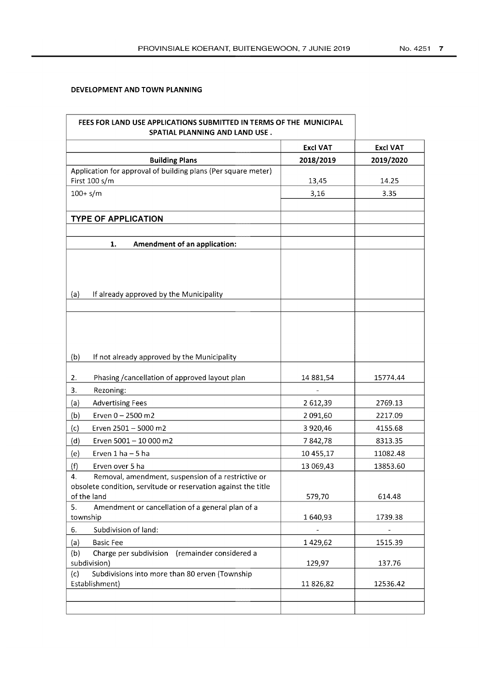## **DEVELOPMENT AND TOWN PLANNING**

| FEES FOR LAND USE APPLICATIONS SUBMITTED IN TERMS OF THE MUNICIPAL<br>SPATIAL PLANNING AND LAND USE.                                      |                 |                 |
|-------------------------------------------------------------------------------------------------------------------------------------------|-----------------|-----------------|
|                                                                                                                                           | <b>Excl VAT</b> | <b>Excl VAT</b> |
| <b>Building Plans</b>                                                                                                                     | 2018/2019       | 2019/2020       |
| Application for approval of building plans (Per square meter)                                                                             |                 |                 |
| First 100 s/m                                                                                                                             | 13,45           | 14.25           |
| $100 + s/m$                                                                                                                               | 3,16            | 3.35            |
|                                                                                                                                           |                 |                 |
| <b>TYPE OF APPLICATION</b>                                                                                                                |                 |                 |
|                                                                                                                                           |                 |                 |
| Amendment of an application:<br>1.                                                                                                        |                 |                 |
| If already approved by the Municipality<br>(a)                                                                                            |                 |                 |
|                                                                                                                                           |                 |                 |
|                                                                                                                                           |                 |                 |
| If not already approved by the Municipality<br>(b)                                                                                        |                 |                 |
| Phasing / cancellation of approved layout plan<br>2.                                                                                      | 14 881,54       | 15774.44        |
| 3.<br>Rezoning:                                                                                                                           |                 |                 |
| (a)<br><b>Advertising Fees</b>                                                                                                            | 2 612,39        | 2769.13         |
| (b)<br>Erven 0 - 2500 m2                                                                                                                  | 2 091,60        | 2217.09         |
| (c)<br>Erven 2501 - 5000 m2                                                                                                               | 3 9 20,46       | 4155.68         |
| Erven 5001 - 10 000 m2<br>(d)                                                                                                             | 7842,78         | 8313.35         |
| Erven 1 ha - 5 ha<br>(e)                                                                                                                  | 10 455,17       | 11082.48        |
| (f)<br>Erven over 5 ha                                                                                                                    | 13 069,43       | 13853.60        |
| Removal, amendment, suspension of a restrictive or<br>4.<br>obsolete condition, servitude or reservation against the title<br>of the land | 579,70          | 614.48          |
| 5.<br>Amendment or cancellation of a general plan of a                                                                                    |                 |                 |
| township                                                                                                                                  | 1640,93         | 1739.38         |
| Subdivision of land:<br>6.                                                                                                                |                 |                 |
| (a)<br><b>Basic Fee</b>                                                                                                                   | 1429,62         | 1515.39         |
| (b)<br>Charge per subdivision<br>(remainder considered a<br>subdivision)                                                                  | 129,97          | 137.76          |
| Subdivisions into more than 80 erven (Township<br>(c)<br>Establishment)                                                                   | 11826,82        | 12536.42        |
|                                                                                                                                           |                 |                 |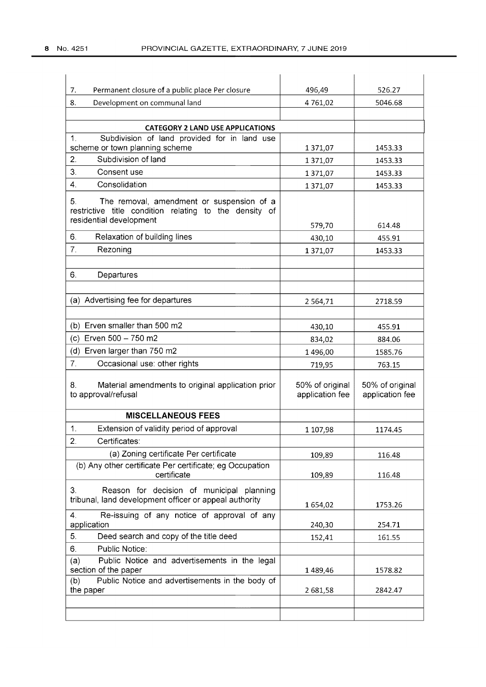| Permanent closure of a public place Per closure<br>7.                                                                                | 496,49                             | 526.27                             |
|--------------------------------------------------------------------------------------------------------------------------------------|------------------------------------|------------------------------------|
| 8.<br>Development on communal land                                                                                                   | 4 761,02                           | 5046.68                            |
|                                                                                                                                      |                                    |                                    |
| <b>CATEGORY 2 LAND USE APPLICATIONS</b><br>Subdivision of land provided for in land use<br>1.                                        |                                    |                                    |
| scheme or town planning scheme                                                                                                       | 1371,07                            | 1453.33                            |
| Subdivision of land<br>2.                                                                                                            | 1371,07                            | 1453.33                            |
| 3.<br>Consent use                                                                                                                    | 1371,07                            | 1453.33                            |
| Consolidation<br>4.                                                                                                                  | 1371,07                            | 1453.33                            |
| The removal, amendment or suspension of a<br>5.<br>restrictive title condition relating to the density of<br>residential development | 579,70                             | 614.48                             |
| 6.<br>Relaxation of building lines                                                                                                   | 430,10                             | 455.91                             |
| 7.<br>Rezoning                                                                                                                       | 1371,07                            | 1453.33                            |
|                                                                                                                                      |                                    |                                    |
| 6.<br>Departures                                                                                                                     |                                    |                                    |
|                                                                                                                                      |                                    |                                    |
| (a) Advertising fee for departures                                                                                                   | 2 5 6 4 , 7 1                      | 2718.59                            |
|                                                                                                                                      |                                    |                                    |
| (b) Erven smaller than 500 m2                                                                                                        | 430,10                             | 455.91                             |
| (c) Erven 500 - 750 m2                                                                                                               | 834,02                             | 884.06                             |
| (d) Erven larger than 750 m2                                                                                                         | 1496,00                            | 1585.76                            |
| 7 <sub>1</sub><br>Occasional use: other rights                                                                                       | 719,95                             | 763.15                             |
| Material amendments to original application prior<br>8.<br>to approval/refusal                                                       | 50% of original<br>application fee | 50% of original<br>application fee |
| <b>MISCELLANEOUS FEES</b>                                                                                                            |                                    |                                    |
| 1.<br>Extension of validity period of approval                                                                                       | 1 107,98                           | 1174.45                            |
| 2.<br>Certificates:                                                                                                                  |                                    |                                    |
| (a) Zoning certificate Per certificate                                                                                               | 109,89                             | 116.48                             |
| (b) Any other certificate Per certificate; eg Occupation<br>certificate                                                              | 109,89                             | 116.48                             |
| Reason for decision of municipal planning<br>3.<br>tribunal, land development officer or appeal authority                            | 1 654,02                           | 1753.26                            |
| $\mathbf{4}$<br>Re-issuing of any notice of approval of any<br>application                                                           | 240,30                             | 254.71                             |
| 5.<br>Deed search and copy of the title deed                                                                                         | 152,41                             | 161.55                             |
| 6.<br>Public Notice:                                                                                                                 |                                    |                                    |
| Public Notice and advertisements in the legal<br>(a)<br>section of the paper                                                         | 1489,46                            | 1578.82                            |
| Public Notice and advertisements in the body of<br>(b)                                                                               |                                    |                                    |
| the paper                                                                                                                            | 2681,58                            | 2842.47                            |
|                                                                                                                                      |                                    |                                    |
|                                                                                                                                      |                                    |                                    |